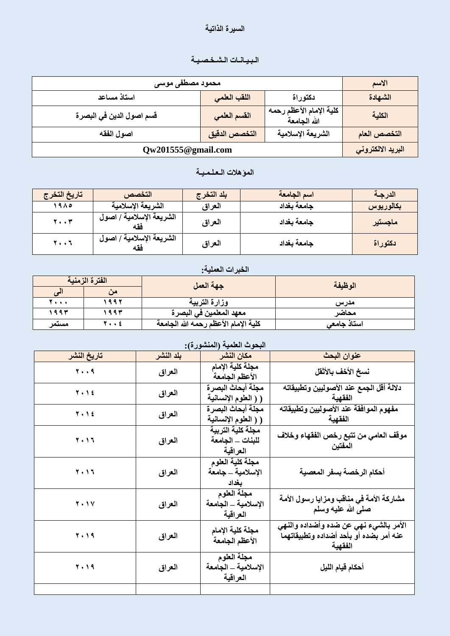#### السيرة الذاتي**ة**

# الـبيـانـات الـشـخـصـيـة

| محمود مصطفى موسى          |               |                                         | الاسم             |
|---------------------------|---------------|-----------------------------------------|-------------------|
| استاذ مساعد               | اللقب العلمى  | دكتوراة                                 | الشهادة           |
| قسم اصول الدين في البصر ة | القسم العلمى  | كلية الإمام الأعظم رحمه<br>الله الجامعة | الكلية            |
| اصول الفقه                | التخصص الدقيق | الشريعة الإسلامية                       | التخصص العام      |
| Qw201555@gmail.com        |               |                                         | البريد الالكتروني |

## الموّهلات الـعـلـمـيــة

| تاريخ التخرج      | التخصص                   | بلد التخرج | اسم الجامعة | الدرجة    |
|-------------------|--------------------------|------------|-------------|-----------|
| 1910              | الشريعة الإسلامية        | العراق     | جامعة بغداد | بكالوريوس |
| $Y \cdot Y$       | الشريعة الإسلامية / اصول | العراق     | جامعة بغداد | ماجستير   |
| $Y \cdot \cdot Y$ | الشريعة الإسلامية / اصول | العراق     | جامعة بغداد | نكتوراة   |

## الخبرات العملية:

|       | الفترة الزمنية | جهة العمل                            | الوظيفة             |
|-------|----------------|--------------------------------------|---------------------|
| ىي    | من             |                                      |                     |
| 7.    | ۱۹۹۲           | وزارة التربية                        | مدرس                |
| ۱۹۹۳  | ۱۹۹۳           | معهد المعلمين في البصر ة             | محاضر               |
| مستمر | 7 ٤            | كلية الإمام الأعظم رحمه الله الجامعة | استاذ جامع <i>ی</i> |

## البحوث العلمية (المنشور ة):

|             | $\sim$    | $\checkmark$                                      |                                                                                              |
|-------------|-----------|---------------------------------------------------|----------------------------------------------------------------------------------------------|
| تاريخ النشر | بلد النشر | مكان النشر                                        | عنوان البحث                                                                                  |
| 79          | العراق    | مجلة كلية الإمام<br>الأعظم الجامعة                | نسخ الأخف بالأثقل                                                                            |
| $Y \cdot Y$ | العراق    | مجلة أبحاث البصرة<br>( ( العلوم الإنسانية         | دلالة أقل الجمع عند الأصوليين وتطبيقاته<br>الفقهية                                           |
| 7.12        | العراق    | مجلة أبحاث البصرة<br>( ( العلوم الإنسانية         | مفهوم الموافقة عند الأصوليين وتطبيقاته<br>الفقهية                                            |
| 2012        | العراق    | مجلة كلية التربية<br>للبنات _ الجامعة<br>العراقية | موقف العامي من تتبع رخص الفقهاء وخلاف<br>المفتين                                             |
| 7.17        | العراق    | مجلة كلية العلوم<br>الإسلامية _ جامعة<br>بغداد    | أحكام الرخصة بسفر المعصية                                                                    |
| <b>T.1V</b> | العراق    | مجلة العلوم<br>الإسلامية _ الجامعة<br>العراقية    | مشاركة الأمة في مناقب ومزايا رسول الأمة<br>صلى الله عليه وسلم                                |
| 7.19        | العراق    | مجلة كلية الإمام<br>الأعظم الجامعة                | الأمر بالشيء نهي عن ضده وأضداده والنهي<br>عنه أمر بضده أو بأحد أضداده وتطبيقاتهما<br>الفقهية |
| <b>T.19</b> | العراق    | مجلة العلوم<br>الإسلامية _ الجامعة<br>العراقية    | أحكام قيام الليل                                                                             |
|             |           |                                                   |                                                                                              |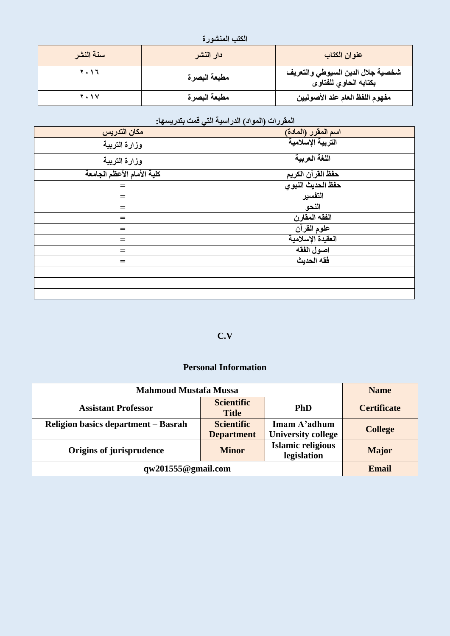| الكتب المنشورة |  |
|----------------|--|
|----------------|--|

| سنة النشر | دار النشر    | عنوان الكتاب                                               |
|-----------|--------------|------------------------------------------------------------|
| 2012      | مطبعة البصرة | شخصية جلال الدين السيوطي والتعريف<br>بكتابه الحاوي للفتاوى |
| 2011      | مطبعة البصرة | مفهوم اللفظ العام عند الأصوليين                            |

## المقررات (المواد) الدراسية الت*ي* قمت بتدريسها:

| مكان التدريس               | <mark>اسم المقرر (المادة)</mark><br>التربية الإسلامية |
|----------------------------|-------------------------------------------------------|
| وزارة التربية              |                                                       |
| وزارة التربية              | اللغة العربية                                         |
| كلية الأمام الأعظم الجامعة | <u>حفظ القرآن</u> الكريم                              |
| $=$                        | حفظ الحديث النبوي                                     |
| $=$                        | التفسير                                               |
| $=$                        | النحو                                                 |
| $=$                        | الفقه المقارن                                         |
| $=$                        | علوم القرآن                                           |
| $=$                        | العقيدة الإسلامية                                     |
| $=$                        | اصول الفقه                                            |
| $=$                        | فقه الحديث                                            |
|                            |                                                       |
|                            |                                                       |
|                            |                                                       |

## **C.V**

#### **Personal Information**

| <b>Mahmoud Mustafa Mussa</b>                                                        |                                        |                                           | <b>Name</b>        |
|-------------------------------------------------------------------------------------|----------------------------------------|-------------------------------------------|--------------------|
| <b>Assistant Professor</b>                                                          | <b>Scientific</b><br><b>Title</b>      | <b>PhD</b>                                | <b>Certificate</b> |
| <b>Religion basics department – Basrah</b>                                          | <b>Scientific</b><br><b>Department</b> | Imam A'adhum<br><b>University college</b> | <b>College</b>     |
| <b>Islamic religious</b><br>Origins of jurisprudence<br><b>Minor</b><br>legislation |                                        |                                           | <b>Major</b>       |
| qw201555@gmail.com                                                                  |                                        |                                           | <b>Email</b>       |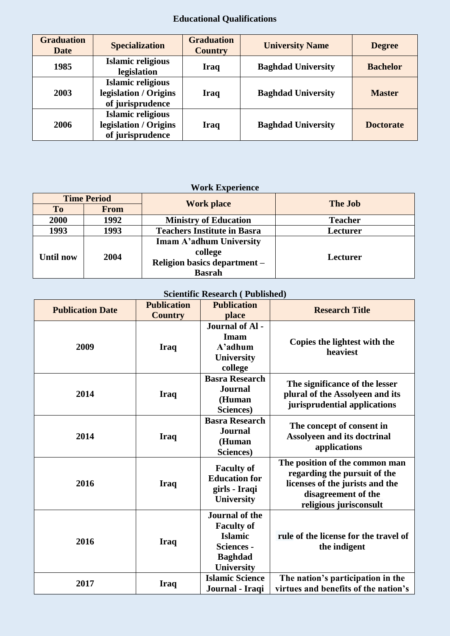# **Educational Qualifications**

| <b>Graduation</b><br><b>Date</b> | <b>Specialization</b>                                                 | <b>Graduation</b><br><b>Country</b> | <b>University Name</b>    | <b>Degree</b>    |
|----------------------------------|-----------------------------------------------------------------------|-------------------------------------|---------------------------|------------------|
| 1985                             | <b>Islamic religious</b><br>legislation                               | Iraq                                | <b>Baghdad University</b> | <b>Bachelor</b>  |
| 2003                             | <b>Islamic religious</b><br>legislation / Origins<br>of jurisprudence | <b>Iraq</b>                         | <b>Baghdad University</b> | <b>Master</b>    |
| 2006                             | <b>Islamic religious</b><br>legislation / Origins<br>of jurisprudence | <b>Iraq</b>                         | <b>Baghdad University</b> | <b>Doctorate</b> |

# **Work Experience**

|                   | <b>Time Period</b> | <b>Work place</b>                  | <b>The Job</b> |  |
|-------------------|--------------------|------------------------------------|----------------|--|
| <b>To</b>         | <b>From</b>        |                                    |                |  |
| 2000              | 1992               | <b>Ministry of Education</b>       | <b>Teacher</b> |  |
| 1993              | 1993               | <b>Teachers Institute in Basra</b> | Lecturer       |  |
|                   |                    | Imam A'adhum University            |                |  |
| 2004<br>Until now | college            | Lecturer                           |                |  |
|                   |                    | Religion basics department -       |                |  |
|                   |                    | <b>Basrah</b>                      |                |  |

# **Scientific Research ( Published)**

| <b>Publication Date</b> | <b>Publication</b><br><b>Country</b> | <b>Publication</b><br>place                                                                                              | <b>Research Title</b>                                                                                                                              |
|-------------------------|--------------------------------------|--------------------------------------------------------------------------------------------------------------------------|----------------------------------------------------------------------------------------------------------------------------------------------------|
| 2009                    | <b>Iraq</b>                          | Journal of Al-<br>Imam<br>A'adhum<br>University<br>college                                                               | Copies the lightest with the<br>heaviest                                                                                                           |
| 2014                    | <b>Iraq</b>                          | <b>Basra Research</b><br><b>Journal</b><br>(Human<br>Sciences)                                                           | The significance of the lesser<br>plural of the Assolyeen and its<br>jurisprudential applications                                                  |
| 2014                    | <b>Iraq</b>                          | <b>Basra Research</b><br><b>Journal</b><br>(Human<br>Sciences)                                                           | The concept of consent in<br><b>Assolyeen and its doctrinal</b><br>applications                                                                    |
| 2016                    | <b>Iraq</b>                          | <b>Faculty of</b><br><b>Education for</b><br>girls - Iraqi<br>University                                                 | The position of the common man<br>regarding the pursuit of the<br>licenses of the jurists and the<br>disagreement of the<br>religious jurisconsult |
| 2016                    | <b>Iraq</b>                          | <b>Journal of the</b><br><b>Faculty of</b><br><b>Islamic</b><br><b>Sciences -</b><br><b>Baghdad</b><br><b>University</b> | rule of the license for the travel of<br>the indigent                                                                                              |
| 2017                    | <b>Iraq</b>                          | <b>Islamic Science</b><br>Journal - Iraqi                                                                                | The nation's participation in the<br>virtues and benefits of the nation's                                                                          |